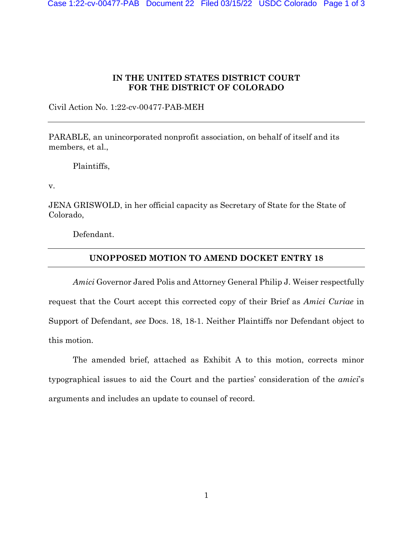## **IN THE UNITED STATES DISTRICT COURT FOR THE DISTRICT OF COLORADO**

Civil Action No. 1:22-cv-00477-PAB-MEH

PARABLE, an unincorporated nonprofit association, on behalf of itself and its members, et al.,

Plaintiffs,

v.

JENA GRISWOLD, in her official capacity as Secretary of State for the State of Colorado,

Defendant.

## **UNOPPOSED MOTION TO AMEND DOCKET ENTRY 18**

*Amici* Governor Jared Polis and Attorney General Philip J. Weiser respectfully request that the Court accept this corrected copy of their Brief as *Amici Curiae* in Support of Defendant, *see* Docs. 18, 18-1. Neither Plaintiffs nor Defendant object to this motion.

The amended brief, attached as Exhibit A to this motion, corrects minor typographical issues to aid the Court and the parties' consideration of the *amici*'s arguments and includes an update to counsel of record.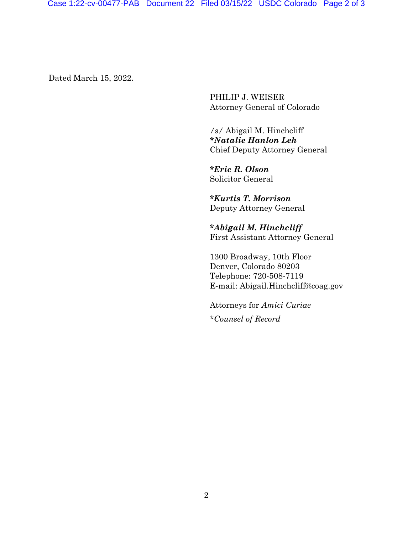Dated March 15, 2022.

PHILIP J. WEISER Attorney General of Colorado

*/s/* Abigail M. Hinchcliff **\****Natalie Hanlon Leh* Chief Deputy Attorney General

**\****Eric R. Olson*  Solicitor General

**\****Kurtis T. Morrison*  Deputy Attorney General

**\****Abigail M. Hinchcliff* First Assistant Attorney General

1300 Broadway, 10th Floor Denver, Colorado 80203 Telephone: 720-508-7119 E-mail: Abigail.Hinchcliff@coag.gov

Attorneys for *Amici Curiae* \**Counsel of Record*